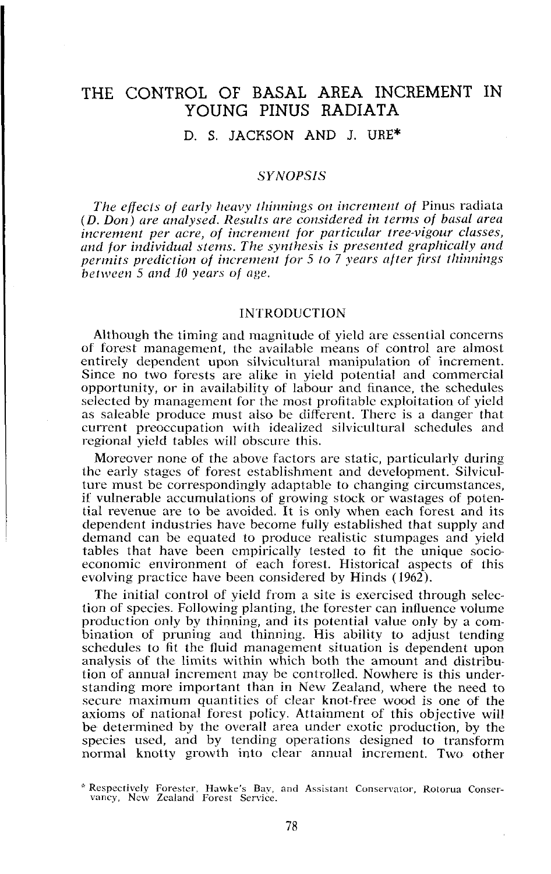# THE CONTROL OF BASAL AREA INCREMENT IN YOUNG PINUS RADIATA

D. **S.** JACKSON AND J. URE\*

### *SYNOPSIS*

*The effects of early heavy thinnings on increment of Pinus radiata (D. Don) are analysed. Results are considered in terms of basal area* increment per acre, of increment for particular tree-vigour classes, and for individual stems. The synthesis is presented graphically and *permits prediction of increment for 5 to 7 years after first thinnings between 5 und 10 years of age.* 

#### **INTRODUCTION**

Although the timing and magnitude of yield are essential concerns of forest management, the available means of control are almost entirely dependent upon silvicultural manipulation of increment. Since no two forests are alike in yield potential and commercial opportunity, or in availability of labour and finance, the schedules selected by management for the most profitable exploitation of yield as saleable produce must also be different. There is a danger that current preoccupation with idealized silvicultural schedules and regional yield tables will obscure this.

Morecver none of the above factors are static, particularly during the early stages of forest establishment and development. Silviculture must be correspondingly adaptable to changing circumstances, if vulnerable accumulations of growing stock or wastages of potential revenue are to be avoided. It is only when each forest and its dependent industries have become fully established that supply and demand can be equated to produce realistic stumpages and yield tables that have been empirically tested to fit the unique socioeconomic environment of each forest. Historical aspects of this evolving practice have been considered by Hinds (1962).

The initial control of yield from a site is exercised through selection of species. Following planting, the forester can influence volume production only by thinning, and it5 potential value only by a combination of pruning and thinning. His ability to adjust tending schedules to fit the fluid management situation is dependent upon analysis of the limits within which both the amount and distribution of annual increment may be controlled. Nowhere is this understanding more important than in New Zealand, where the need to secure maximum quantities of clear knot-free wood is one of the axioms of national forest policy. Attainment of this objective will be determined by the overall area under exotic production, by the species used, and by tending operations designed to transform normal knotty growth into clear annual increment. Two other

<sup>\*</sup> Respectively Forester, Hawke's Bav, and Assistant Conservator, Rotorua Conser-vancy, New Zealand Forest Service.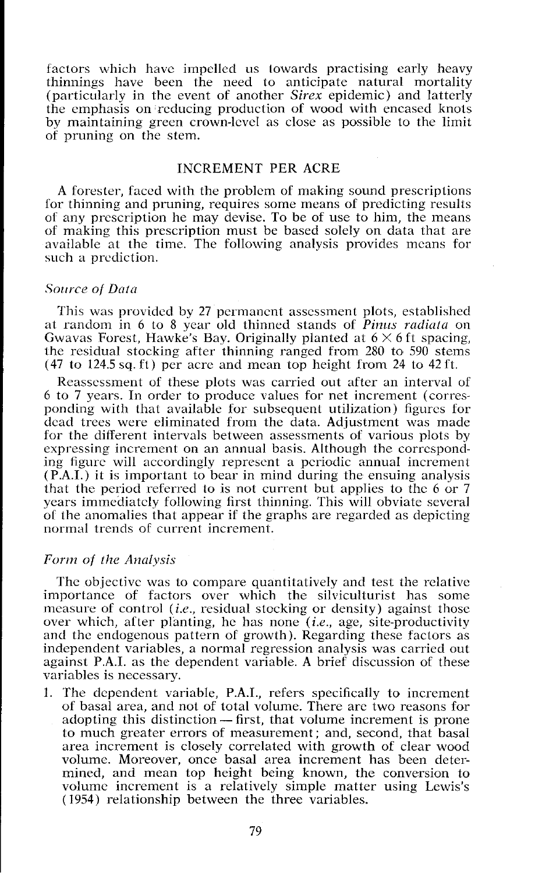factors which have impelled us towards practising early heavy thinnings have been the need to anticipate natural mortality (particularly in the event of another Sirex cpidcmic) and latterly the emphasis on reducing production of wood with encased knots by maintaining green crown-lcvcl as close as possible to the limit of pruning on the stem.

### INCREMENT PER ACRE

A forester, faced with the problem of making sound prescriptions for thinning and pruning, requires some means of predicting results of any prescription he may devise. To be of use to him, the means of making this prescription must be based solely on data that are available at the time. The following analysis provides means for such a prediction.

#### Source of Data

This was provided by 27 permanent assessment plots, established at random in 6 to 8 year old thinned stands of *Pinus radiata* on Gwavas Forest, Hawke's Bay. Originally planted at  $6 \times 6$  ft spacing, the residual stocking after thinning ranged from 280 to 590 stems  $(47 \text{ to } 124.5 \text{ sq. ft})$  per acre and mean top height from 24 to 42 ft.

Reassessment of these plots was carried out after an interval of 6 to 7 years. In order to produce values for net increment (corresponding with that available for subsequent utilization) figures for dead trees were eliminated from the data. Adjustment was made for the different intervals between assessments of various plots by expressing increment on an annual basis. Although the corresponding figure will accordingly reprcscnt a periodic annual increment (P.A.I.) it is important to bear in mind during the ensuing analysis that the period referred to is not current but applies to the  $6$  or  $7$ years immediately following first thinning. This will obviate several of the anomalies that appear if the graphs are regarded as depicting normal trends of current increment.

### Form of the Analysis

The objective was to compare quantitatively and test the relative importance of factors over which the silviculturist has some measure of control *(i.e., residual stocking or density)* against those over which, after planting, he has none *(i.e.,* age, site-productivity and the endogenous pattern of growth). Regarding these factors as independent variables, a normal regression analysis was carried out against P.A.I. as the dependent variable. **A** brief discussion of these variables is necessary.

1. The dependent variable, P.A.I., refers specifically to increment of basal area, and not of total volume. There are two reasons for The dependent variable, P.A.I., refers specifically to increment<br>of basal area, and not of total volume. There are two reasons for<br>adopting this distinction — first, that volume increment is prone to much greater errors of measurement; and, second, that basal area increment is closely correlated with growth of clear wood volume. Moreover, once basal area increment has been determined, and mean top height being known, the conversion to volumc increment is a relatively simple matter using Lewis's (1954) relationship between the three variables.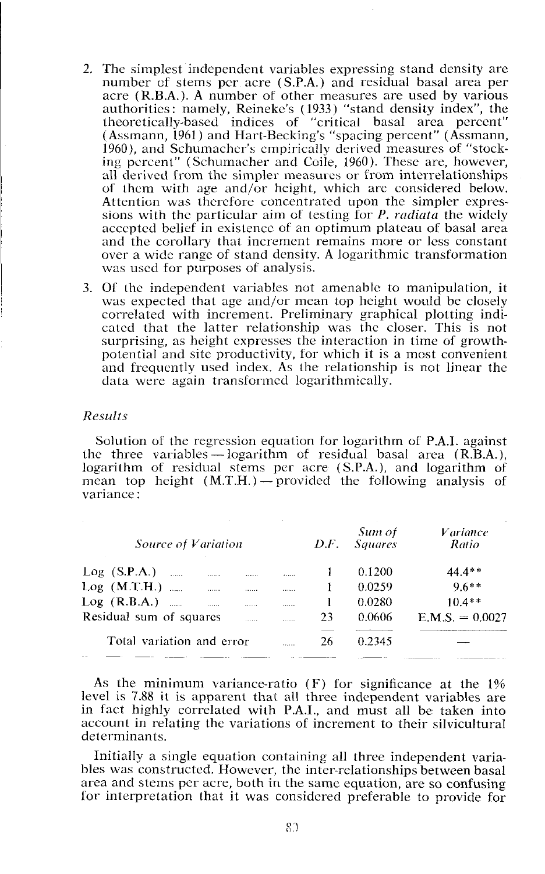- 2. The simplest independent variables expressing stand density are number of stems per acre (S.P.A.) and residual basal area per acre (R.B.A.). A number of other measures are used by various authorities: namely, Reineke's (1933) "stand density index", the theoretically-ba\ed indices of "critical basal area percent" (Assmann, 1961) and Hart-Becking's "spacing percent" (Assmann, 1960), and Schumacher's empirically derived measures of "stocking percent" (Schumacher and Coile, 1960). These are, however, all derived from the simpler measures or from interrelationships of them with age and/or height, which are considered below. Attention was therefore concentrated upon the simpler expres sions with the particular aim of testing for *P. radiata* the widely accepted belief in exislencc of an optimum plateau of basal area and the corollary that increment remains more or less constant over a wide range of stand density. **A** logarithmic transformation was used for purposes of analysis.
- 3. Of the independent variables not amenable to manipulation, it was expected that age and/or mean top height would be closely correlated with increment. Preliminary graphical plotting indicated that the latter relationship was the closer. This is not surprising, as height expresses the interaction in time of growthpotential and site productivity, for which it is a most convenient and frequently used index. As the relationship is not linear the data were again transformed logarithmically.

### *Results*

Solution of the regression equation for logarithm of P.A.I. against the three variables - logarithm of residual basal area (R.B.A.), logarithm of residual stems per acre (S.P.A.), and logarithm of mean top height  $(M.T.H.)$  - provided the following analysis of variance :

| Source of Variation                  |   | D.F. | Sum of<br><b>Squares</b> | <i>Variance</i><br>Ratio |  |
|--------------------------------------|---|------|--------------------------|--------------------------|--|
| $Log(S.P.A.)$<br>1.1.1.1.1<br>       |   |      | 0.1200                   | $44.4**$                 |  |
| $Log (M.T.H.)$<br>.<br>              |   |      | 0.0259                   | $9.6***$                 |  |
| $Log (R.B.A.)$<br>11.1111<br>1.1.1.1 | . |      | 0.0280                   | $10.4**$                 |  |
| Residual sum of squares<br>.         | . | 23   | 0.0606                   | $E.M.S. = 0.0027$        |  |
| Total variation and error<br>.       |   | 26   | 0.2345                   | __                       |  |
|                                      |   |      |                          |                          |  |

As the minimum variance-ratio (F) for significance at the I% level is 7.88 it is apparent that all three independent variables are in fact highly correlated with P.A.I., and must all be taken into account in relating the variations of increment to their silvicultural determinants.

Initially a single equation containing all three independent variables was constructed. However, the inter-relationships between basal area and stems per acre, both in the same equation, are so confusing for interpretation that it was considered preferable to provide for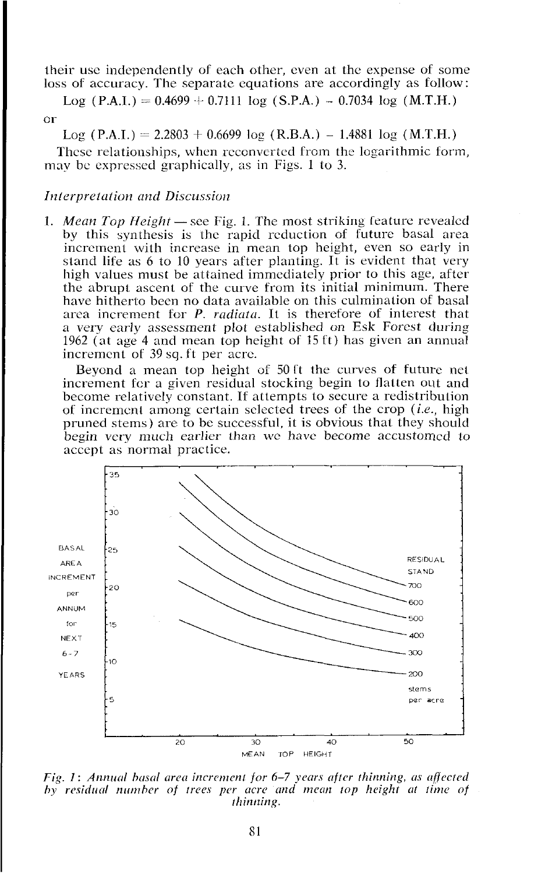their use independently of each other, even at the expense of some loss of accuracy. The separate equations are accordingly as follow:

Log  $(P.A.I.) = 0.4699 + 0.7111 \log (S.P.A.) - 0.7034 \log (M.T.H.)$ 

# or

Log (P.A.I.) = 2.2803 + 0.6699 log (R.B.A.) - 1.4881 log (M.T.H.)

These relationships, when reconverted from the logarithmic form, may be expressed graphically, as in Figs. 1 to 3.

# **Interpretation and Discussion**

1. *Mean Top Height* — see Fig. 1. The most striking feature revealed by this synthesis is the rapid reduction of future basal area increrncnt with increase in mean top height, even so early in stand life as 6 to 10 years after planting. It is evident that very high values must be attained immediately prior to this age, after the abrupt ascent of the curve from its initial minimum. There have hitherto been no data available on this culmination of basal area increment for P. *radiata*. It is therefore of interest that a very early assessment plot established on Esk Forest during 1962 **(at** age 4 and mean top height of 15 ft) has given an annual increment of 39 sq. ft per acre.

Beyond a mean top height of 50 **1t** the curves of future net increment for a given residual stocking begin to flatten out and become relatively constant. If attempts to secure a redistribution of increment among certain selected trees of the crop (i.e., high pruned stems) are to be successful, it is obvious that they should begin very much earlier than we have become accustomed to accept as normal practice.



*Fig. 1: Annual basal area increment for 6-7 years after thinning, as affected hy residual number of trees per acre and mean top height at time of thinning.*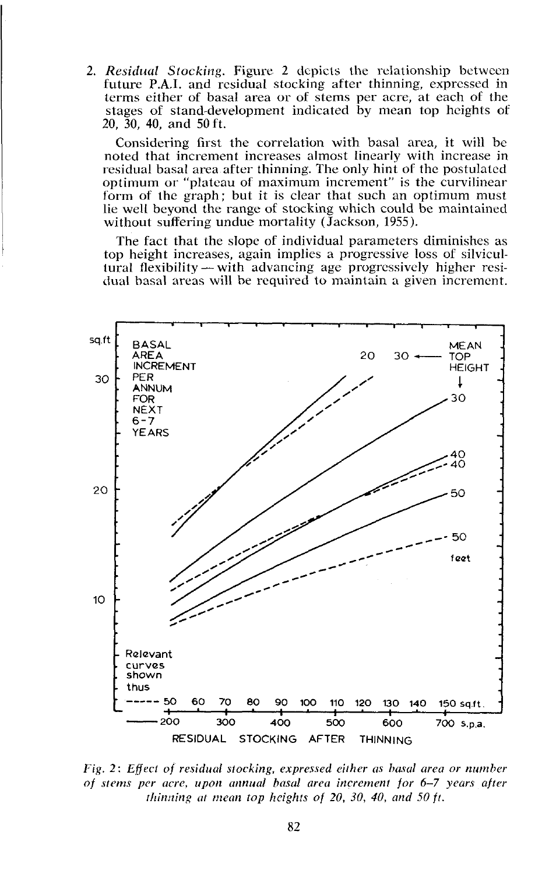2. Residual Stocking. Figure 2 depicts the relationship between future P.A.I. and residual stocking after thinning, exprcssed in terms either of basal area or of stems per acre, at each of the stages of stand-development indicated by mean top heights of 20, 30, 40, and 50ft.

Considering first the correlation with basal area, it will be noted that increment increases almost linearly with increase in residual basal area after thinning. The only hint of the postulated optimum or "plateau of maximum increment" is the curvilinear form ot the graph; but it is clear that such an optimum must lie well beyond the range of stocking which could be maintained without suffering undue mortality (Jackson, 1955).

The fact that the slope of individual parameters diminishes as top height increases, again implies a progressive loss of silvicultural flexibility  $-$  with advancing age progressively higher residual basal areas will he required to maintain a given increment.



*Fig. 2: Effect of residual stocking, expressed either as basal area or number of stenis per acre, upon annual basal area increment for 6-7 years after rhinning at mean top heights of 20, 30, 40, and 50 ft.*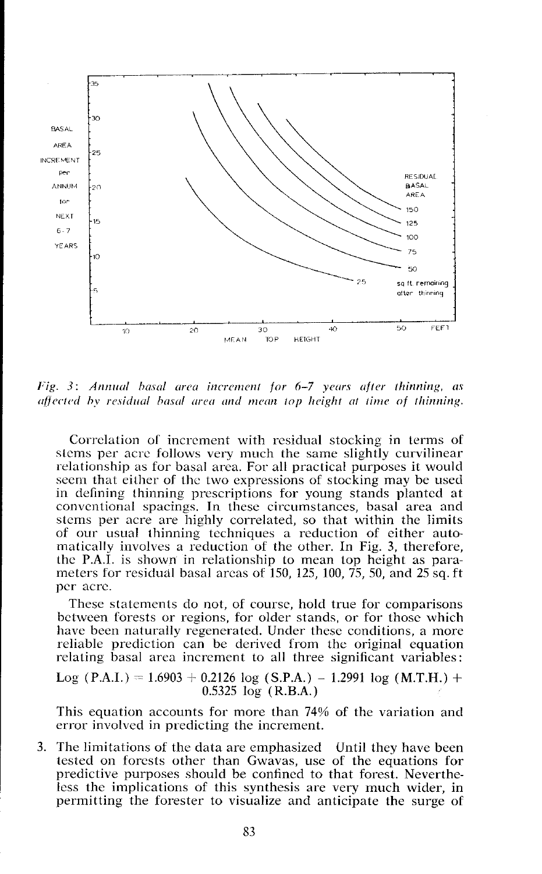

Fig. 3: Annual basal area increment for 6-7 years after thinning, as affected by residual basal area and mean top height at time of thinning.

Correlation ol increment with residual stocking in terms of stems per acre follows very much the same slightly curvilinear relationship as for basal area. For all practical purposes it would seem that either of the two expressions of stocking may be used in defining thinning prescriptions for young stands planted at conventional spacings. In these circumstances, basal area and slems per acre are highly correlated, so that within the limits of our usual thinning techniques a reduction of either automalically involves a reduction of the other. In Fig. 3, therefore, the P.A.I. is shown in relationship to mean top height as parameters for residual basal areas of 150, 125, 100, 75, 50, and 25 sq. ft per acre.

These statements do not, of course, hold true for comparisons between forests or regions, for older stands, or for those which have been naturally regenerated. Under these conditions, a more reliable prediction can be derived from thc original equation relating basal area increment to all three significant variables:

Log (P.A.I.) = 1.6903 + 0.2126 log (S.P.A.) - 1.2991 log (M.T.H.) + 0.5325 log (R.B.A.)

This equation accounts for more than 74% of the variation and error involved in predicting the increment.

3. The limitations of the data are cmphasizcd Until they have been tested on forests other than Gwavas, use of the equations for predictive purposes should be confined to that forest. Nevertheless the implications of this synthesis are very much wider, in permitting the forester to visualize and anticipate the surge of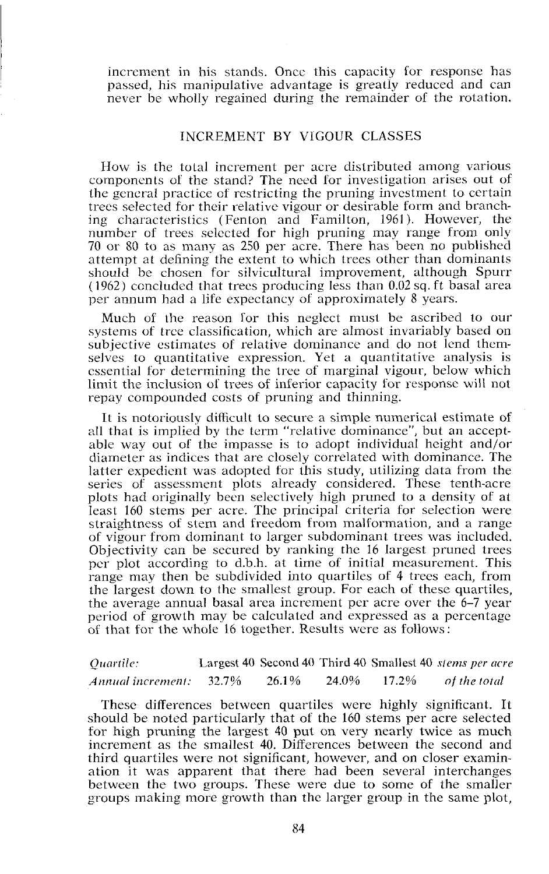increment in his stands. Once this capacity for response has passed, his manipulative advantage is greatly reduced and can never be wholly regained during the remainder of the rotation.

# INCREMENT BY VIGOUR CLASSES

How is the total increment per acre distributed among various components of the stand? The need for investigation arises out of the general practice of restricting the pruning investment to certain trecs selected for their relative vigour or desirable form and branching characteristics (Fenton and Familton, 1961). However, the number of trees selected for high pruning may range from only 70 or 80 to as many as 250 per acre. There has been no published attempt at defining the extent to which trees other than dominants should be chosen for silvicultural improvement, although Spurr  $(1962)$  concluded that trees producing less than  $0.02$  sq. ft basal area per annum had a life expectancy of approximately 8 years.

Much of the reason for this neglect must be ascribed to our systems of tree classification, which are almost invariably based on subjective estimates of relative dominance and do not lend themselves to quantitative expression. Yet a quantitative analysis is essential for determining the tree of marginal vigour, below which limit the inclusion of trees of inferior capacity for response will not repay compounded costs of pruning and thinning.

It is notoriously diflicult to secure a simple numerical estimate of all that is implied by the term "relative dominance", but an acceptable way out of the impasse is to adopt individual height and/or diameter as indices that are closely correlated with dominance. The latter expedient was adopted for this study, utilizing data from the series of assessment plots already considered. These tenth-acre plots had originally been selectively high pruned to a density of at least 160 stems per acre. The principal criteria for selection were straightness of stem and freedom from malformation, and a range of vigour from dominant to larger subdominant trees was included. Objectivity can be sccured by ranking the 16 largest pruned trees per plot according to d.b.h. at time of initial measurement. This range may then be subdivided into quartiles of 4 trecs each, from the largest down to the smallest group. For each of these quartiles, the average annual basal area increment per acre over the 6-7 year period of growth may be calculated and expressed as a percentage of that for the whole 16 together. Results were as follows:

| Quartile:         |       |       |       |       | Largest 40 Second 40 Third 40 Smallest 40 stems per acre |
|-------------------|-------|-------|-------|-------|----------------------------------------------------------|
| Annual increment. | 32.7% | 26.1% | 24.0% | 17.2% | of the total                                             |

These differences between quartiles were highly significant. It should be noted particularly that of the 160 stems per acre selected for high pruning the largest 40 put on very nearly twice as much increment as the smallest 40. Differences between the second and third quartilcs were not significant, however, and on closer examination it was apparent that there had been several interchanges between the two groups. These were due to some of the smaller groups making more growth than the larger group in the same plot,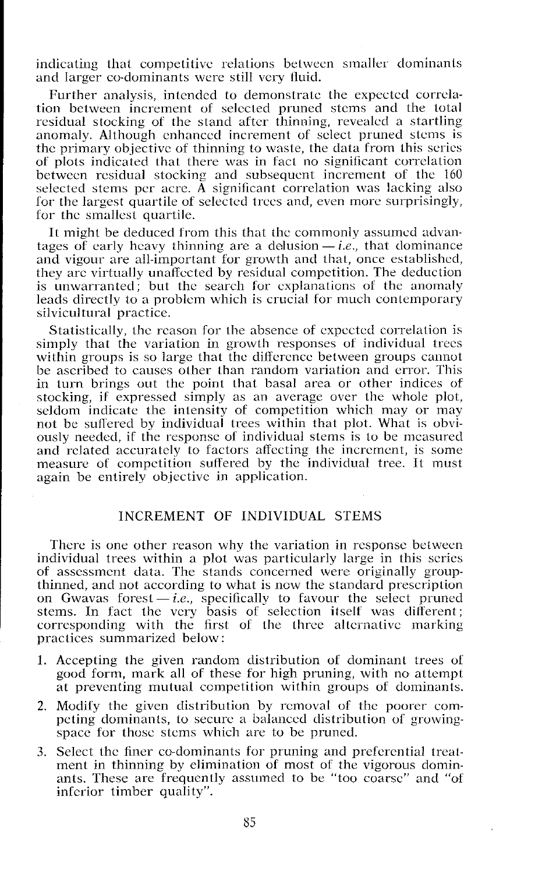indicating that competitive relations between smaller dominants and larger co-dominants were still very fluid.

Further analysis, intcndcd to demonstrate the expected correlation between increment of selected pruned stems and the total residual stocking of the stand after thinning, revealed a startling anomaly. Although enhanced increment of select pruned stcms is the primary objective of thinning to waste, the data from this series of plots indicated that there was in fact no significant correlation between rcsidual stocking and subsequent increment of the 160 selected stems per acre.  $\tilde{A}$  significant correlation was lacking also for the largest quartile of selected trees and, even more surprisingly, for the smallest quartile.

It might be deduced from this that the commonly assumed advantages of early heavy thinning are a delusion  $-i.e.,$  that dominance and vigour are all-important for growth and that, once established, they arc virtually unaffected by residual competition. The deduction is unwarranted; but the search for explanations of the anomaly leads directly to a problem which is crucial for much contemporary silvicultural practice.

Statistically, the reason for the absence of expected correlation is simply that the variation in growth responses of individual trees within groups is so large that the difference between groups cannot be ascribed to causes other than random variation and error. This in turn brings out the point that basal area or other indices of stocking, if expressed simply as an average over the whole plot, seldom indicate the intensity of competition which may or may not be suffered by individual trees within that plot. What is obviously needed, if the response of individual stems is to be measured and related accurately to factors affecting the increment, is some measure of compctition suffered by the individual tree. It must again be cntirely objective in application.

# INCREMENT OF INDIVIDUAL STEMS

There is one other reason why the variation in response betwecn individual trees within a plot was particularly large in this series of assessment data. The stands concerned were originally groupthinned, and not according to what is now the standard prescription on Gwavas forest  $-i.e.,$  specifically to favour the select pruned stems. In fact the very basis of selection itself was different; corresponding with the first of the three alternative marking practices summarized below :

- 1. Accepting the given random distribution of dominant trees of good form, mark all of these for high pruning, with no attempt at preventing mutual competition within groups of dominants.
- 2. Modify the given distribution by removal of the poorer competing dominants, to secure a balanced distribution of growingspace for thosc stems which are to be pruned.
- 3. Select the finer co-dominants for pruning and prelercntial treatment in thinning by elimination of most of the vigorous dominants. These are frequently assumed to be "too coarse" and "of infcrior timber quality".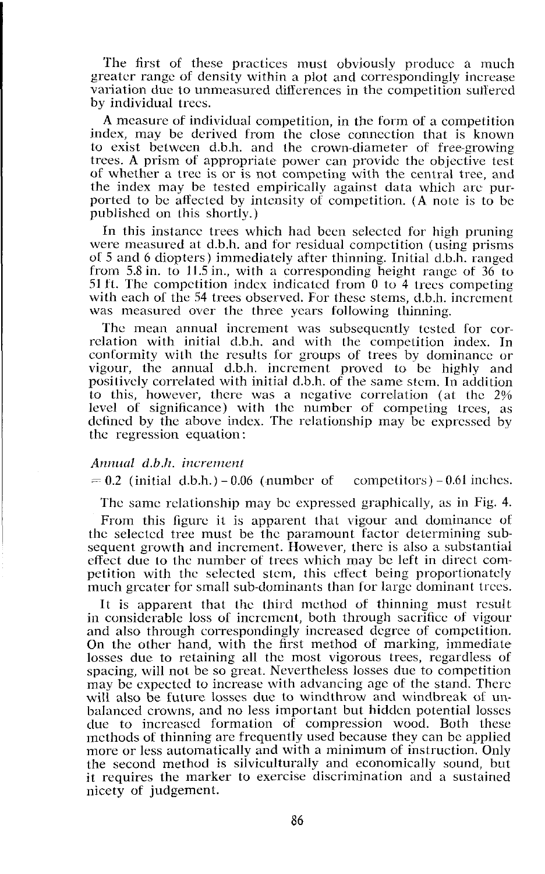The first of these practices must obviously produce a much greater range of density within a plot and correspondingly increase variation due to unmeasured differences in the compctition sultercd by individual trecs.

**A** measure of individual competition, in the form of a competition index, may be derived from the close connection that is known to exist between d.b.h. and the crown-diameter of free-growing trees. **A** prism of appropriate power can provide the objective test of whether a tree is or is not competing with the central tree, and the index may be tested empirically against data which arc purported to be affected by intcnsity of competition. **(A** note is to be published on this shortly.)

In this instance trees which had been selected for high pruning were measured at d.b.h. and for residual competition (using prisms of 5 and 6 diopters) immediately after thinning. Initial d.b.11. ranged from 5.8 in. to 11.5 in., with a corresponding height range of 36 to 51 ft. The competition index indicated from 0 to 4 trees competing with each of the 54 trees observed. For these stems, d.b.h. increment was measured over the three years following thinning.

Thc mean annual increment was subsequently tested for correlation with initial d.b.h. and with the competition index. In conformity with the results for groups of trees by dominance or vigour, the annual d.b.h. increment proved to be highly and positively correlated with initial d.b.11. of the same stern. In addition to this, however, there was a negative correlation (at the 2% level of significance) with the number of competing trees, as defined by thc above index. The relationship may be expressed by thc regression equation :

### *Aiznucd d.b.1~. increincnt*

 $= 0.2$  (initial d.b.h.)  $-0.06$  (number of competitors)  $-0.61$  inches.

The same relationship may be expressed graphically, as in Fig. 4.

From this figure it is apparent that vigour and dominance of the selected tree nust be the paramount tactor determining subsequent growth and increment. However, there is also a substantial effect due to the number of trees which may be left in direct competition with the selected stem, this effect being proportionately much greater for small sub-dominants than for large dominant trees.

It is apparent that the third method of thinning must result in considerable loss of increment, both through sacrifice of vigour and also through correspondingly increased degree of compctition. On the other hand, with the first method of marking, immediate losses due to retaining all the most vigorous trees, regardless of spacing, will not be so great. Nevertheless losses due to compctition may be expected to increase with advancing age of the stand. There will also be future losses due to windthrow and windbreak of unbalanced crowns, and no less important but hidden potential losses due to increased formation of compression wood. Both these methods 01 thinning arc frequently used because they can be applied more or less automatically and with a minimum of instruction. Only the second method is silviculturally and economically sound, but it requires the marker to exercise discrimination and a sustained nicety of judgement.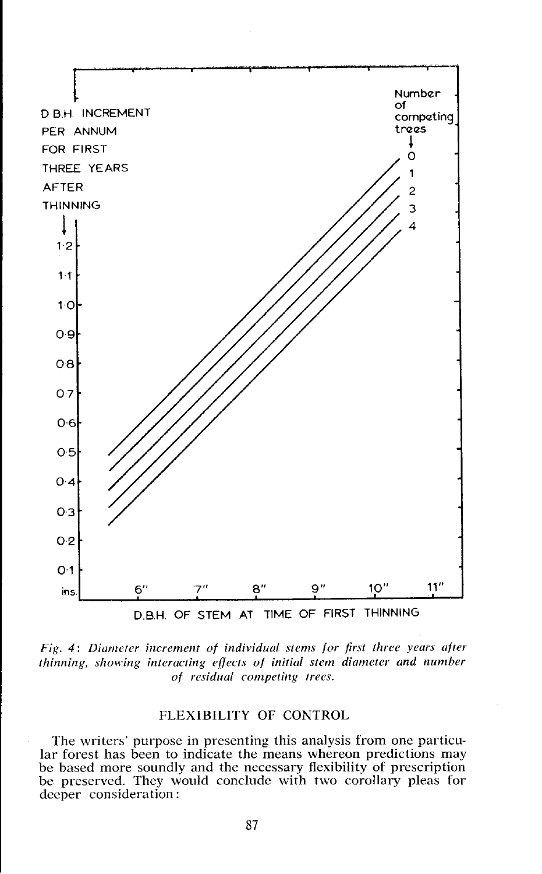

*Fig. 4: Diameter increment of individual stems for first three years after thinning, showing interacting effects of initial stem diameter and number*  $of$  residual competing trees.

# FLEXIBILITY OF CONTROL

The writers' purpose in presenting this analysis from one particular forest has been to indicate the means whereon predictions may be based more soundly and the necessary flexibility of prescription be preserved. They would conclude with two corollary pleas for deeper consideration :